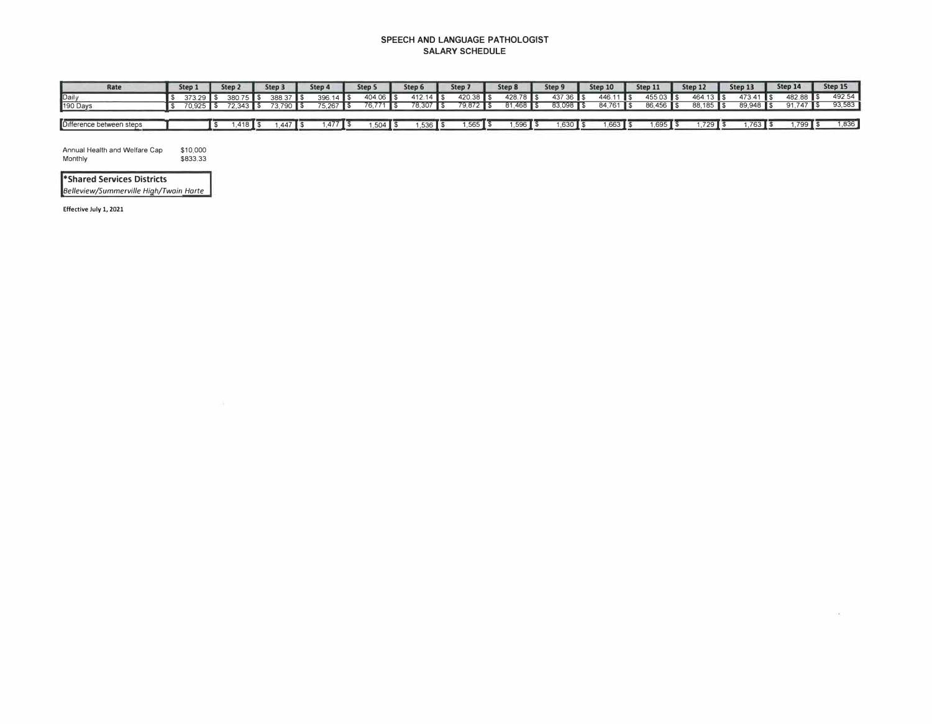## **SPEECH AND LANGUAGE PATHOLOGIST SALARY SCHEDULE**

| Rate                     | Step 1      | Step <sub>2</sub> | Step 3                 | Step 4                          | Step 5    | Step 6      | Step 7      | Step 8             | Step 9                | Step 10    | Step 11    | Step 12     | Step 13    | Step 14    | Step 15 |
|--------------------------|-------------|-------------------|------------------------|---------------------------------|-----------|-------------|-------------|--------------------|-----------------------|------------|------------|-------------|------------|------------|---------|
| Daily<br>190 Days        | $373.29$ \$ | $380.75$ \$       | 388.37 \$              | $396.14$ \$                     | 404.06 \$ | $412.14$ \$ | $420.38$ \$ | $428.78$ \$        | $437.36$ \$           | 446.11 \$  | $45503$ \$ | $464.13$ \$ | $473.41$ S | 482.88 \$  | 492.54  |
|                          | $70.925$ \$ |                   | 72.343   \$73.790   \$ | $75.267$ $\text{\AA}$           | 76.771 \$ | 78.307 \$   | 79.872 \$   | $81,468$ \$        | 83.098 \$             | 84 761 S   | 86.456 \$  | 88.185 \$   | 89.948 \$  | $91.747$ S | 93.583  |
|                          |             |                   |                        |                                 |           |             |             |                    |                       |            |            |             |            |            |         |
| Difference between steps |             | $1.418$ $\pm$     | $1.447$ S              | $477$ $\overline{\phantom{1}5}$ |           | $1,536$ \$  | $1.565$ \$  | $1.596$ $\sqrt{3}$ | 1.630 $\mathsf{T}$ \$ | $1.663$ \$ | 1.695      | 729 L       | 763 L      |            | 1,836   |

 $\sim$ 

Annual Health and Welfare Cap Monthly \$10,000 \$833.33

**\*Shared Services Districts** *Belleview/Summerville High/Twain Harte* 

**Effective** July 1, 2021